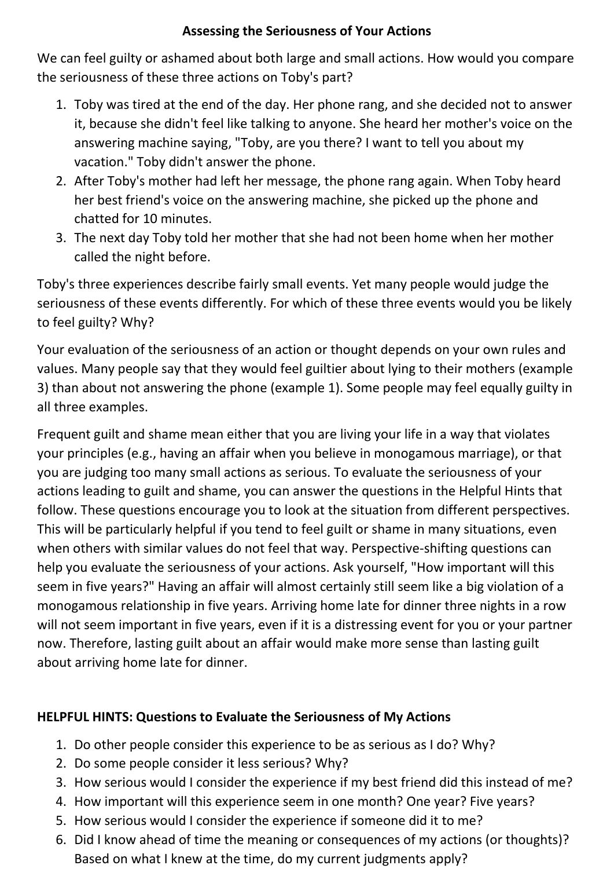## **Assessing the Seriousness of Your Actions**

We can feel guilty or ashamed about both large and small actions. How would you compare the seriousness of these three actions on Toby's part?

- 1. Toby was tired at the end of the day. Her phone rang, and she decided not to answer it, because she didn't feel like talking to anyone. She heard her mother's voice on the answering machine saying, "Toby, are you there? I want to tell you about my vacation." Toby didn't answer the phone.
- 2. After Toby's mother had left her message, the phone rang again. When Toby heard her best friend's voice on the answering machine, she picked up the phone and chatted for 10 minutes.
- 3. The next day Toby told her mother that she had not been home when her mother called the night before.

Toby's three experiences describe fairly small events. Yet many people would judge the seriousness of these events differently. For which of these three events would you be likely to feel guilty? Why?

Your evaluation of the seriousness of an action or thought depends on your own rules and values. Many people say that they would feel guiltier about lying to their mothers (example 3) than about not answering the phone (example 1). Some people may feel equally guilty in all three examples.

Frequent guilt and shame mean either that you are living your life in a way that violates your principles (e.g., having an affair when you believe in monogamous marriage), or that you are judging too many small actions as serious. To evaluate the seriousness of your actions leading to guilt and shame, you can answer the questions in the Helpful Hints that follow. These questions encourage you to look at the situation from different perspectives. This will be particularly helpful if you tend to feel guilt or shame in many situations, even when others with similar values do not feel that way. Perspective-shifting questions can help you evaluate the seriousness of your actions. Ask yourself, "How important will this seem in five years?" Having an affair will almost certainly still seem like a big violation of a monogamous relationship in five years. Arriving home late for dinner three nights in a row will not seem important in five years, even if it is a distressing event for you or your partner now. Therefore, lasting guilt about an affair would make more sense than lasting guilt about arriving home late for dinner.

## **HELPFUL HINTS: Questions to Evaluate the Seriousness of My Actions**

- 1. Do other people consider this experience to be as serious as I do? Why?
- 2. Do some people consider it less serious? Why?
- 3. How serious would I consider the experience if my best friend did this instead of me?
- 4. How important will this experience seem in one month? One year? Five years?
- 5. How serious would I consider the experience if someone did it to me?
- 6. Did I know ahead of time the meaning or consequences of my actions (or thoughts)? Based on what I knew at the time, do my current judgments apply?